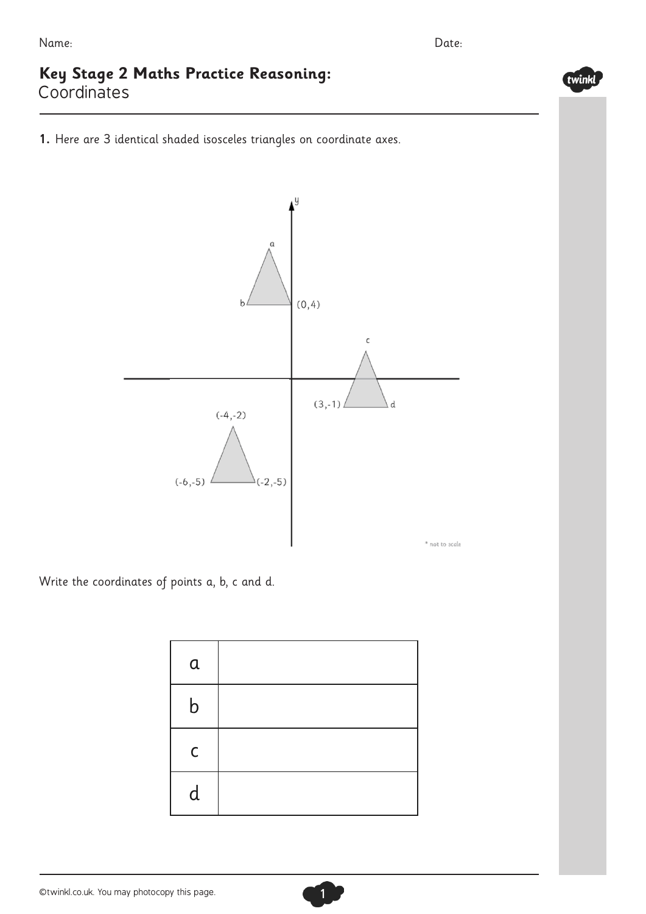## **Key Stage 2 Maths Practice Reasoning:** Coordinates

**1.** Here are 3 identical shaded isosceles triangles on coordinate axes.



Write the coordinates of points a, b, c and d.

| a           |  |
|-------------|--|
| b           |  |
| $\mathsf C$ |  |
| d           |  |

1



twinkl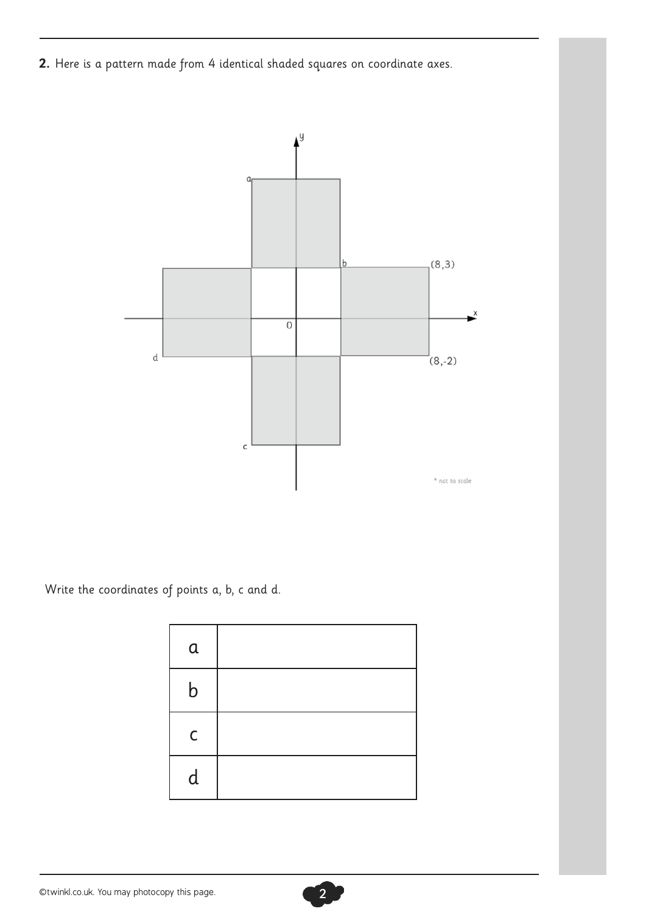**2.** Here is a pattern made from 4 identical shaded squares on coordinate axes.



Write the coordinates of points a, b, c and d.

| $\mathfrak a$ |  |
|---------------|--|
| b             |  |
| $\mathsf C$   |  |
| d             |  |

©twinkl.co.uk. You may photocopy this page. 2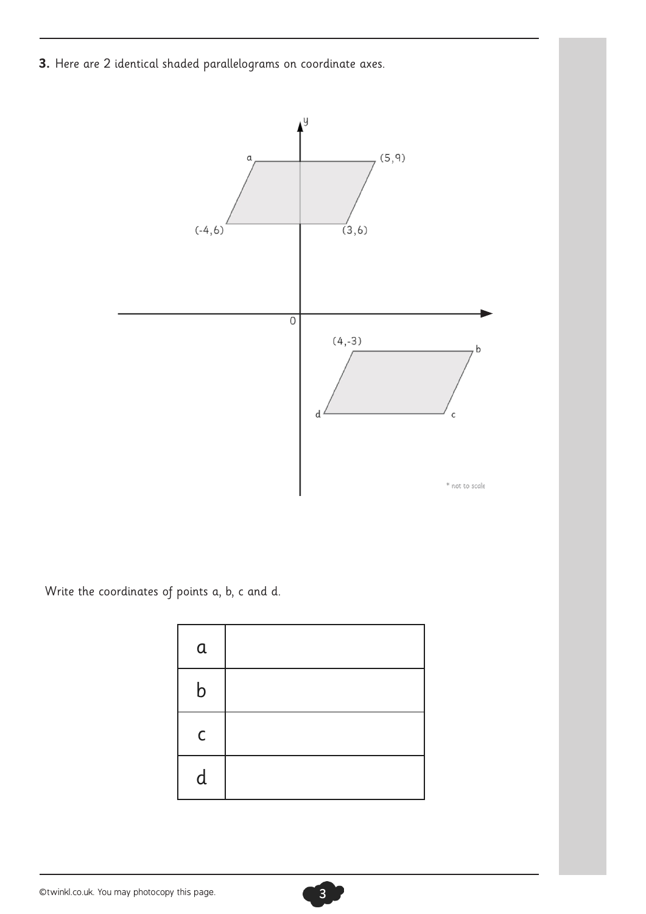**3.** Here are 2 identical shaded parallelograms on coordinate axes.



Write the coordinates of points a, b, c and d.

| $\alpha$    |  |
|-------------|--|
| b           |  |
| $\mathsf C$ |  |
| d           |  |

©twinkl.co.uk. You may photocopy this page. 3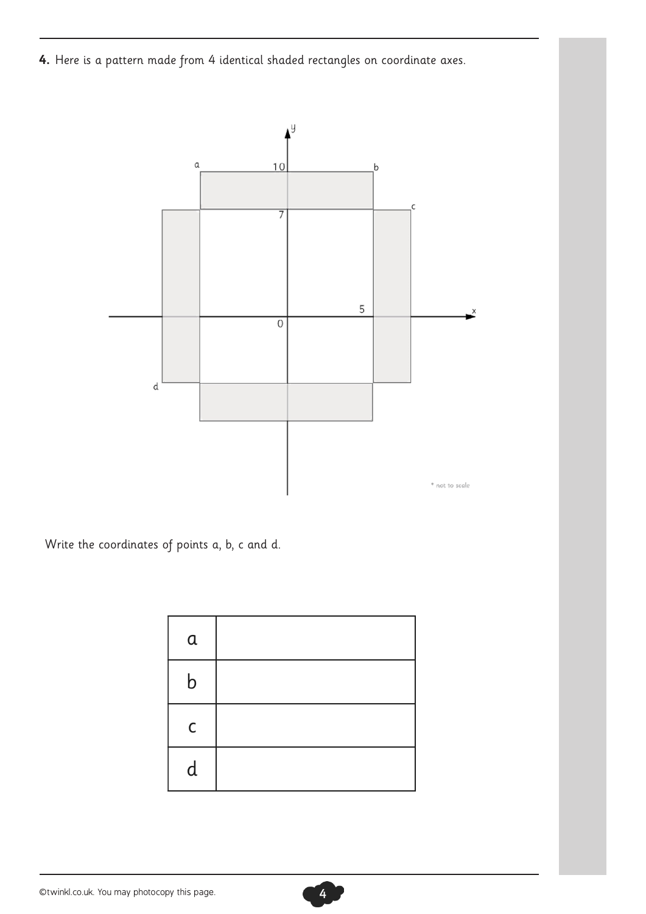**4.** Here is a pattern made from 4 identical shaded rectangles on coordinate axes.



Write the coordinates of points a, b, c and d.